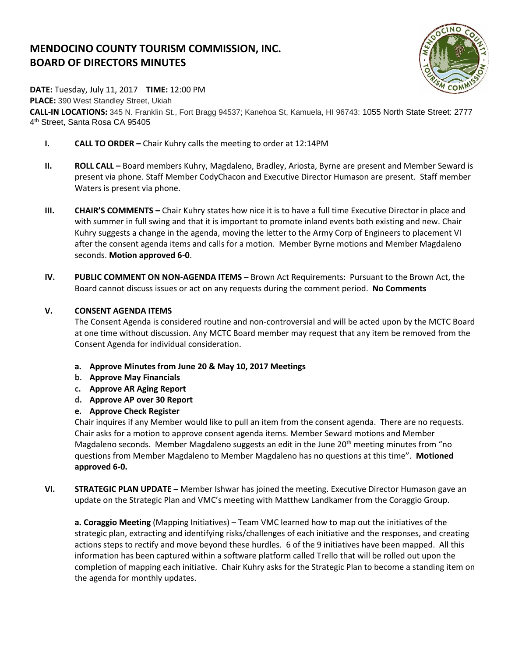# **MENDOCINO COUNTY TOURISM COMMISSION, INC. BOARD OF DIRECTORS MINUTES**



**DATE:** Tuesday, July 11, 2017 **TIME:** 12:00 PM

**PLACE:** 390 West Standley Street, Ukiah **CALL-IN LOCATIONS:** 345 N. Franklin St., Fort Bragg 94537; Kanehoa St, Kamuela, HI 96743: 1055 North State Street: 2777 4<sup>th</sup> Street, Santa Rosa CA 95405

- **I. CALL TO ORDER –** Chair Kuhry calls the meeting to order at 12:14PM
- **II. ROLL CALL –** Board members Kuhry, Magdaleno, Bradley, Ariosta, Byrne are present and Member Seward is present via phone. Staff Member CodyChacon and Executive Director Humason are present. Staff member Waters is present via phone.
- **III. CHAIR'S COMMENTS –** Chair Kuhry states how nice it is to have a full time Executive Director in place and with summer in full swing and that it is important to promote inland events both existing and new. Chair Kuhry suggests a change in the agenda, moving the letter to the Army Corp of Engineers to placement VI after the consent agenda items and calls for a motion. Member Byrne motions and Member Magdaleno seconds. **Motion approved 6-0**.
- **IV. PUBLIC COMMENT ON NON-AGENDA ITEMS** Brown Act Requirements: Pursuant to the Brown Act, the Board cannot discuss issues or act on any requests during the comment period. **No Comments**

## **V. CONSENT AGENDA ITEMS**

The Consent Agenda is considered routine and non-controversial and will be acted upon by the MCTC Board at one time without discussion. Any MCTC Board member may request that any item be removed from the Consent Agenda for individual consideration.

- **a. Approve Minutes from June 20 & May 10, 2017 Meetings**
- **b. Approve May Financials**
- **c. Approve AR Aging Report**
- **d. Approve AP over 30 Report**
- **e. Approve Check Register**

Chair inquires if any Member would like to pull an item from the consent agenda. There are no requests. Chair asks for a motion to approve consent agenda items. Member Seward motions and Member Magdaleno seconds. Member Magdaleno suggests an edit in the June  $20<sup>th</sup>$  meeting minutes from "no questions from Member Magdaleno to Member Magdaleno has no questions at this time". **Motioned approved 6-0.**

**VI. STRATEGIC PLAN UPDATE –** Member Ishwar has joined the meeting. Executive Director Humason gave an update on the Strategic Plan and VMC's meeting with Matthew Landkamer from the Coraggio Group.

**a. Coraggio Meeting** (Mapping Initiatives) – Team VMC learned how to map out the initiatives of the strategic plan, extracting and identifying risks/challenges of each initiative and the responses, and creating actions steps to rectify and move beyond these hurdles. 6 of the 9 initiatives have been mapped. All this information has been captured within a software platform called Trello that will be rolled out upon the completion of mapping each initiative. Chair Kuhry asks for the Strategic Plan to become a standing item on the agenda for monthly updates.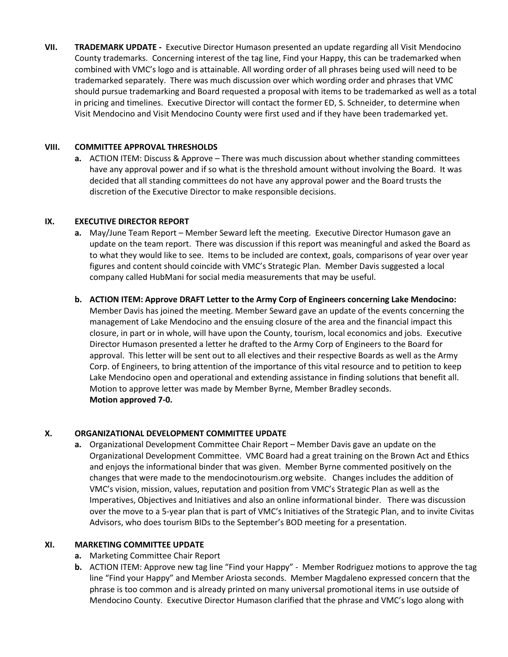**VII. TRADEMARK UPDATE -** Executive Director Humason presented an update regarding all Visit Mendocino County trademarks. Concerning interest of the tag line, Find your Happy, this can be trademarked when combined with VMC's logo and is attainable. All wording order of all phrases being used will need to be trademarked separately. There was much discussion over which wording order and phrases that VMC should pursue trademarking and Board requested a proposal with items to be trademarked as well as a total in pricing and timelines. Executive Director will contact the former ED, S. Schneider, to determine when Visit Mendocino and Visit Mendocino County were first used and if they have been trademarked yet.

#### **VIII. COMMITTEE APPROVAL THRESHOLDS**

**a.** ACTION ITEM: Discuss & Approve – There was much discussion about whether standing committees have any approval power and if so what is the threshold amount without involving the Board. It was decided that all standing committees do not have any approval power and the Board trusts the discretion of the Executive Director to make responsible decisions.

#### **IX. EXECUTIVE DIRECTOR REPORT**

- **a.** May/June Team Report Member Seward left the meeting. Executive Director Humason gave an update on the team report. There was discussion if this report was meaningful and asked the Board as to what they would like to see. Items to be included are context, goals, comparisons of year over year figures and content should coincide with VMC's Strategic Plan. Member Davis suggested a local company called HubMani for social media measurements that may be useful.
- **b. ACTION ITEM: Approve DRAFT Letter to the Army Corp of Engineers concerning Lake Mendocino:**  Member Davis has joined the meeting. Member Seward gave an update of the events concerning the management of Lake Mendocino and the ensuing closure of the area and the financial impact this closure, in part or in whole, will have upon the County, tourism, local economics and jobs. Executive Director Humason presented a letter he drafted to the Army Corp of Engineers to the Board for approval. This letter will be sent out to all electives and their respective Boards as well as the Army Corp. of Engineers, to bring attention of the importance of this vital resource and to petition to keep Lake Mendocino open and operational and extending assistance in finding solutions that benefit all. Motion to approve letter was made by Member Byrne, Member Bradley seconds. **Motion approved 7-0.**

#### **X. ORGANIZATIONAL DEVELOPMENT COMMITTEE UPDATE**

**a.** Organizational Development Committee Chair Report – Member Davis gave an update on the Organizational Development Committee. VMC Board had a great training on the Brown Act and Ethics and enjoys the informational binder that was given. Member Byrne commented positively on the changes that were made to the mendocinotourism.org website. Changes includes the addition of VMC's vision, mission, values, reputation and position from VMC's Strategic Plan as well as the Imperatives, Objectives and Initiatives and also an online informational binder. There was discussion over the move to a 5-year plan that is part of VMC's Initiatives of the Strategic Plan, and to invite Civitas Advisors, who does tourism BIDs to the September's BOD meeting for a presentation.

#### **XI. MARKETING COMMITTEE UPDATE**

- **a.** Marketing Committee Chair Report
- **b.** ACTION ITEM: Approve new tag line "Find your Happy" Member Rodriguez motions to approve the tag line "Find your Happy" and Member Ariosta seconds. Member Magdaleno expressed concern that the phrase is too common and is already printed on many universal promotional items in use outside of Mendocino County. Executive Director Humason clarified that the phrase and VMC's logo along with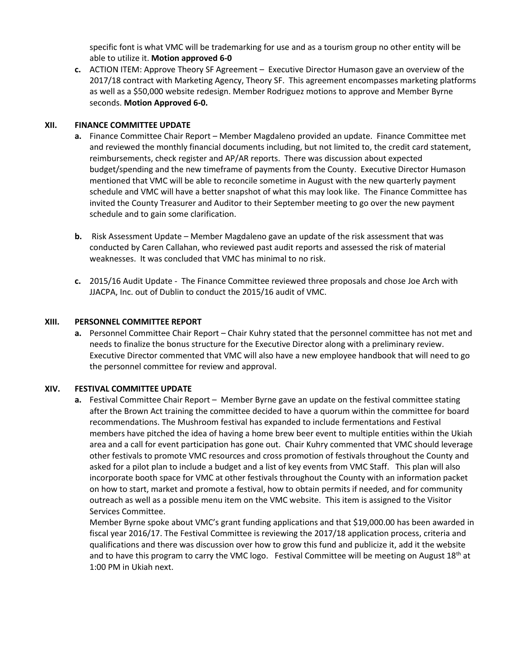specific font is what VMC will be trademarking for use and as a tourism group no other entity will be able to utilize it. **Motion approved 6-0**

**c.** ACTION ITEM: Approve Theory SF Agreement – Executive Director Humason gave an overview of the 2017/18 contract with Marketing Agency, Theory SF. This agreement encompasses marketing platforms as well as a \$50,000 website redesign. Member Rodriguez motions to approve and Member Byrne seconds. **Motion Approved 6-0.**

### **XII. FINANCE COMMITTEE UPDATE**

- **a.** Finance Committee Chair Report Member Magdaleno provided an update. Finance Committee met and reviewed the monthly financial documents including, but not limited to, the credit card statement, reimbursements, check register and AP/AR reports. There was discussion about expected budget/spending and the new timeframe of payments from the County. Executive Director Humason mentioned that VMC will be able to reconcile sometime in August with the new quarterly payment schedule and VMC will have a better snapshot of what this may look like. The Finance Committee has invited the County Treasurer and Auditor to their September meeting to go over the new payment schedule and to gain some clarification.
- **b.** Risk Assessment Update Member Magdaleno gave an update of the risk assessment that was conducted by Caren Callahan, who reviewed past audit reports and assessed the risk of material weaknesses. It was concluded that VMC has minimal to no risk.
- **c.** 2015/16 Audit Update The Finance Committee reviewed three proposals and chose Joe Arch with JJACPA, Inc. out of Dublin to conduct the 2015/16 audit of VMC.

## **XIII. PERSONNEL COMMITTEE REPORT**

**a.** Personnel Committee Chair Report – Chair Kuhry stated that the personnel committee has not met and needs to finalize the bonus structure for the Executive Director along with a preliminary review. Executive Director commented that VMC will also have a new employee handbook that will need to go the personnel committee for review and approval.

# **XIV. FESTIVAL COMMITTEE UPDATE**

**a.** Festival Committee Chair Report – Member Byrne gave an update on the festival committee stating after the Brown Act training the committee decided to have a quorum within the committee for board recommendations. The Mushroom festival has expanded to include fermentations and Festival members have pitched the idea of having a home brew beer event to multiple entities within the Ukiah area and a call for event participation has gone out. Chair Kuhry commented that VMC should leverage other festivals to promote VMC resources and cross promotion of festivals throughout the County and asked for a pilot plan to include a budget and a list of key events from VMC Staff. This plan will also incorporate booth space for VMC at other festivals throughout the County with an information packet on how to start, market and promote a festival, how to obtain permits if needed, and for community outreach as well as a possible menu item on the VMC website. This item is assigned to the Visitor Services Committee.

Member Byrne spoke about VMC's grant funding applications and that \$19,000.00 has been awarded in fiscal year 2016/17. The Festival Committee is reviewing the 2017/18 application process, criteria and qualifications and there was discussion over how to grow this fund and publicize it, add it the website and to have this program to carry the VMC logo. Festival Committee will be meeting on August  $18<sup>th</sup>$  at 1:00 PM in Ukiah next.